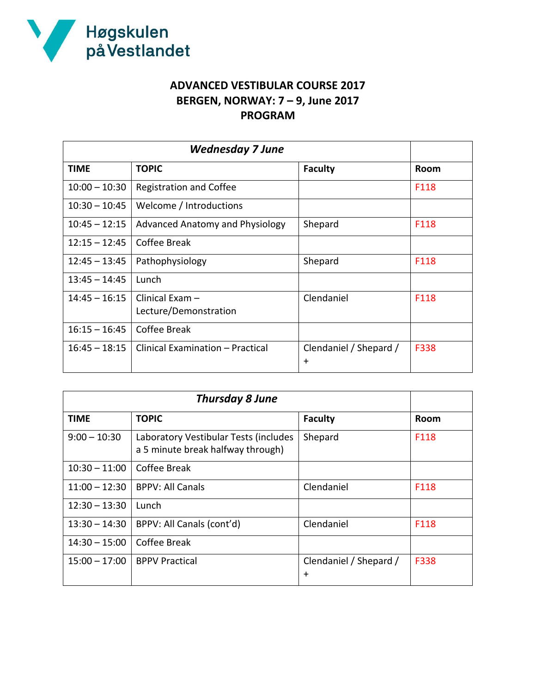

## **ADVANCED VESTIBULAR COURSE 2017 BERGEN, NORWAY: 7 – 9, June 2017 PROGRAM**

| <b>Wednesday 7 June</b> |                                          |                                     |      |
|-------------------------|------------------------------------------|-------------------------------------|------|
| <b>TIME</b>             | <b>TOPIC</b>                             | <b>Faculty</b>                      | Room |
| $10:00 - 10:30$         | <b>Registration and Coffee</b>           |                                     | F118 |
| $10:30 - 10:45$         | Welcome / Introductions                  |                                     |      |
| $10:45 - 12:15$         | Advanced Anatomy and Physiology          | Shepard                             | F118 |
| $12:15 - 12:45$         | Coffee Break                             |                                     |      |
| $12:45 - 13:45$         | Pathophysiology                          | Shepard                             | F118 |
| $13:45 - 14:45$         | Lunch                                    |                                     |      |
| $14:45 - 16:15$         | Clinical Exam -<br>Lecture/Demonstration | Clendaniel                          | F118 |
| $16:15 - 16:45$         | Coffee Break                             |                                     |      |
| $16:45 - 18:15$         | Clinical Examination - Practical         | Clendaniel / Shepard /<br>$\ddot{}$ | F338 |

| <b>Thursday 8 June</b> |                                                                            |                               |      |
|------------------------|----------------------------------------------------------------------------|-------------------------------|------|
| <b>TIME</b>            | <b>TOPIC</b>                                                               | <b>Faculty</b>                | Room |
| $9:00 - 10:30$         | Laboratory Vestibular Tests (includes<br>a 5 minute break halfway through) | Shepard                       | F118 |
| $10:30 - 11:00$        | Coffee Break                                                               |                               |      |
| $11:00 - 12:30$        | <b>BPPV: All Canals</b>                                                    | Clendaniel                    | F118 |
| $12:30 - 13:30$        | Lunch                                                                      |                               |      |
| $13:30 - 14:30$        | BPPV: All Canals (cont'd)                                                  | Clendaniel                    | F118 |
| $14:30 - 15:00$        | Coffee Break                                                               |                               |      |
| $15:00 - 17:00$        | <b>BPPV Practical</b>                                                      | Clendaniel / Shepard /<br>$+$ | F338 |